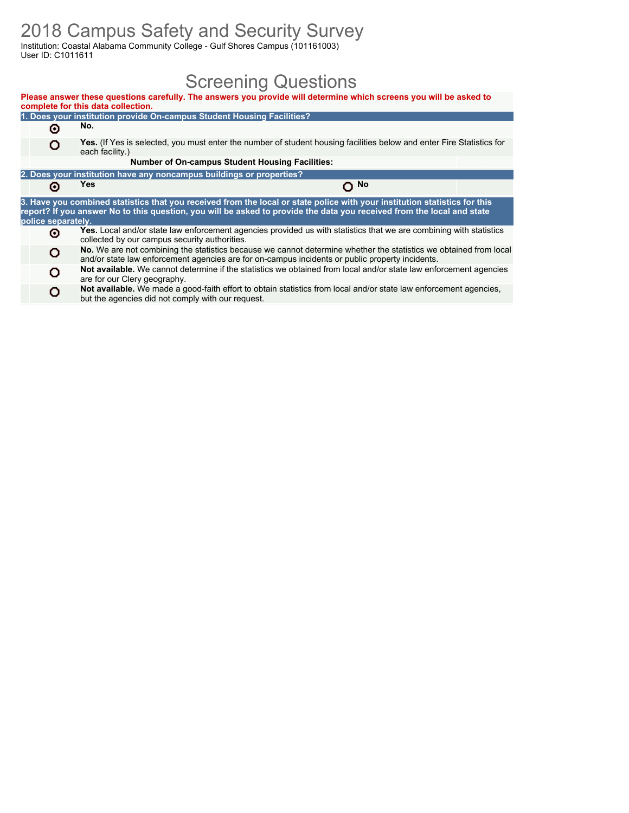### 2018 Campus Safety and Security Survey

Institution: Coastal Alabama Community College - Gulf Shores Campus (101161003) User ID: C1011611

### Screening Questions

|                    | complete for this data collection.                                     | Please answer these questions carefully. The answers you provide will determine which screens you will be asked to                                                                                                                                   |             |  |
|--------------------|------------------------------------------------------------------------|------------------------------------------------------------------------------------------------------------------------------------------------------------------------------------------------------------------------------------------------------|-------------|--|
|                    | 1. Does your institution provide On-campus Student Housing Facilities? |                                                                                                                                                                                                                                                      |             |  |
| Θ                  | No.                                                                    |                                                                                                                                                                                                                                                      |             |  |
| o                  | each facility.)                                                        | <b>Yes.</b> (If Yes is selected, you must enter the number of student housing facilities below and enter Fire Statistics for                                                                                                                         |             |  |
|                    |                                                                        | <b>Number of On-campus Student Housing Facilities:</b>                                                                                                                                                                                               |             |  |
|                    | 2. Does your institution have any noncampus buildings or properties?   |                                                                                                                                                                                                                                                      |             |  |
| Θ                  | Yes                                                                    |                                                                                                                                                                                                                                                      | $\Omega$ No |  |
| police separately. |                                                                        | 3. Have you combined statistics that you received from the local or state police with your institution statistics for this<br>report? If you answer No to this question, you will be asked to provide the data you received from the local and state |             |  |
| Θ                  | collected by our campus security authorities.                          | <b>Yes.</b> Local and/or state law enforcement agencies provided us with statistics that we are combining with statistics                                                                                                                            |             |  |
| o                  |                                                                        | No. We are not combining the statistics because we cannot determine whether the statistics we obtained from local<br>and/or state law enforcement agencies are for on-campus incidents or public property incidents.                                 |             |  |
| o                  | are for our Clery geography.                                           | Not available. We cannot determine if the statistics we obtained from local and/or state law enforcement agencies                                                                                                                                    |             |  |
| o                  | but the agencies did not comply with our request.                      | Not available. We made a good-faith effort to obtain statistics from local and/or state law enforcement agencies,                                                                                                                                    |             |  |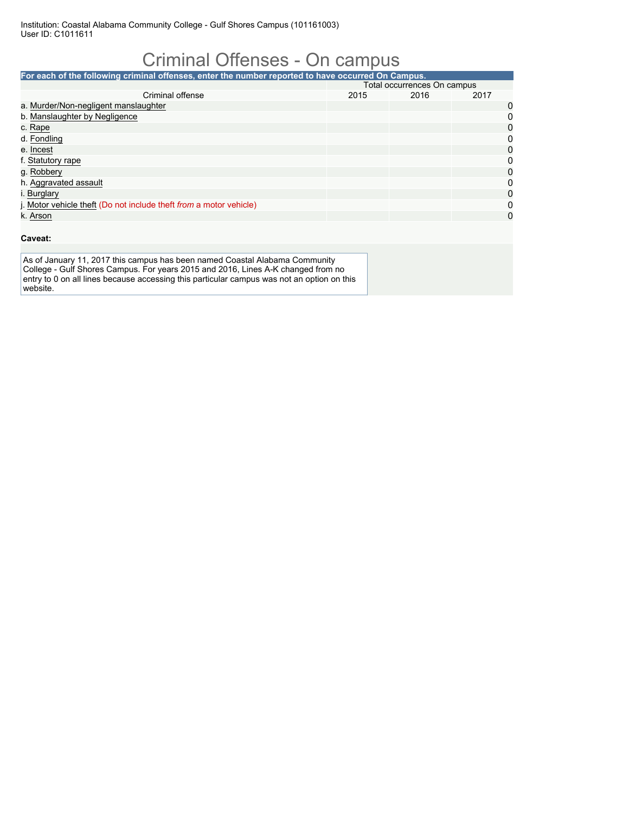# Criminal Offenses - On campus

| For each of the following criminal offenses, enter the number reported to have occurred On Campus. |                             |      |      |   |  |  |  |  |
|----------------------------------------------------------------------------------------------------|-----------------------------|------|------|---|--|--|--|--|
|                                                                                                    | Total occurrences On campus |      |      |   |  |  |  |  |
| Criminal offense                                                                                   | 2015                        | 2016 | 2017 |   |  |  |  |  |
| a. Murder/Non-negligent manslaughter                                                               |                             |      |      | 0 |  |  |  |  |
| b. Manslaughter by Negligence                                                                      |                             |      |      | 0 |  |  |  |  |
| c. Rape                                                                                            |                             |      |      | 0 |  |  |  |  |
| d. Fondling                                                                                        |                             |      |      | 0 |  |  |  |  |
| e. Incest                                                                                          |                             |      |      | 0 |  |  |  |  |
| f. Statutory rape                                                                                  |                             |      |      | 0 |  |  |  |  |
| g. Robbery                                                                                         |                             |      |      | 0 |  |  |  |  |
| h. Aggravated assault                                                                              |                             |      |      | 0 |  |  |  |  |
| i. Burglary                                                                                        |                             |      |      | 0 |  |  |  |  |
| j. Motor vehicle theft (Do not include theft from a motor vehicle)                                 |                             |      |      | 0 |  |  |  |  |
| k. Arson                                                                                           |                             |      |      | 0 |  |  |  |  |

#### **Caveat:**

As of January 11, 2017 this campus has been named Coastal Alabama Community College - Gulf Shores Campus. For years 2015 and 2016, Lines A-K changed from no entry to 0 on all lines because accessing this particular campus was not an option on this website.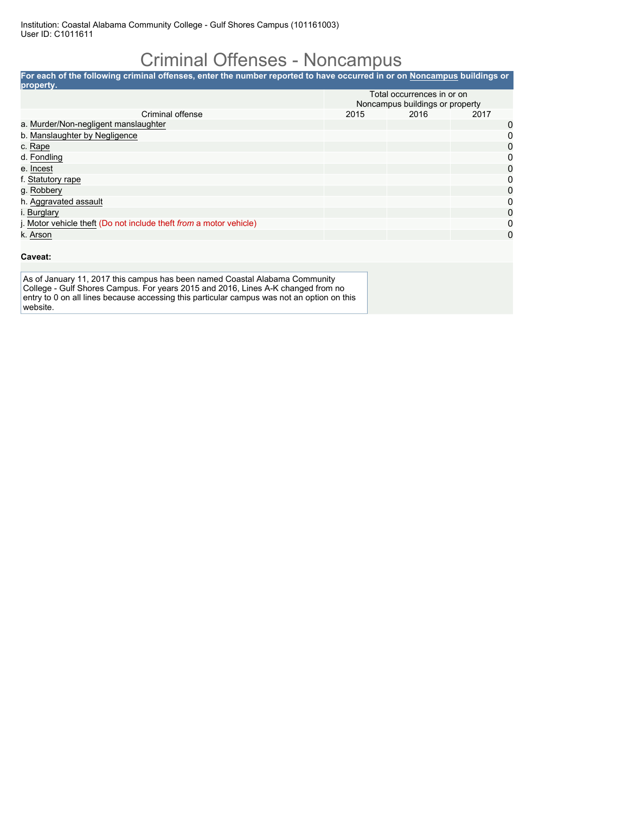### Criminal Offenses - Noncampus

**For each of the following criminal offenses, enter the number reported to have occurred in or on Noncampus buildings or property.** Total occurrences in or on Noncampus buildings or property<br>2015 2016 2017 Criminal offense a. Murder/Non-negligent manslaughter 0 b. <u>Manslaughter by Negligence</u> 000 per control of the control of the control of the control of the control of the control of the control of the control of the control of the control of the control of the control of the co c. Rape 0 d. Fondling 0 e. <u>Incest</u> 2008 **and 2008 and 2008 and 2008 and 2008 and 2008 and 2008 and 2008 and 2008 and 2008 and 2008 and 200** f. <u>Statutory rape</u> 000 per control of the statutory rape 000 per control of the statutory rape 000 per control of the statutory rape 000 per control of the statutory rape 000 per control of the statutory rape 000 per cont g. Robbery 0 h. Aggravated assault 0 i. <u>Burglary</u> Channel Channel Channel Channel Channel Channel Channel Channel Channel Channel Channel Channel Ch j. Motor vehicle theft (Do not include theft *from* a motor vehicle) 0 k. Arson 0

#### **Caveat:**

As of January 11, 2017 this campus has been named Coastal Alabama Community College - Gulf Shores Campus. For years 2015 and 2016, Lines A-K changed from no entry to 0 on all lines because accessing this particular campus was not an option on this website.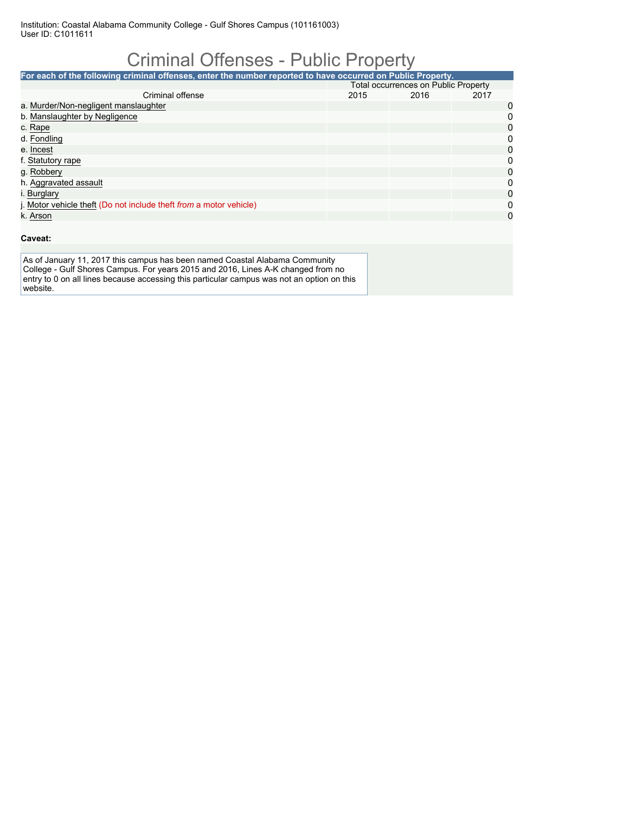# Criminal Offenses - Public Property

| For each of the following criminal offenses, enter the number reported to have occurred on Public Property. |                                             |      |      |          |  |
|-------------------------------------------------------------------------------------------------------------|---------------------------------------------|------|------|----------|--|
|                                                                                                             | <b>Total occurrences on Public Property</b> |      |      |          |  |
| Criminal offense                                                                                            | 2015                                        | 2016 | 2017 |          |  |
| a. Murder/Non-negligent manslaughter                                                                        |                                             |      |      | 0        |  |
| b. Manslaughter by Negligence                                                                               |                                             |      |      | 0        |  |
| c. Rape                                                                                                     |                                             |      |      | 0        |  |
| d. Fondling                                                                                                 |                                             |      |      | 0        |  |
| e. Incest                                                                                                   |                                             |      |      | 0        |  |
| f. Statutory rape                                                                                           |                                             |      |      | 0        |  |
| g. Robbery                                                                                                  |                                             |      |      | $\Omega$ |  |
| h. Aggravated assault                                                                                       |                                             |      |      | 0        |  |
| i. Burglary                                                                                                 |                                             |      |      | 0        |  |
| j. Motor vehicle theft (Do not include theft from a motor vehicle)                                          |                                             |      |      | 0        |  |
| k. Arson                                                                                                    |                                             |      |      | 0        |  |

#### **Caveat:**

As of January 11, 2017 this campus has been named Coastal Alabama Community College - Gulf Shores Campus. For years 2015 and 2016, Lines A-K changed from no entry to 0 on all lines because accessing this particular campus was not an option on this website.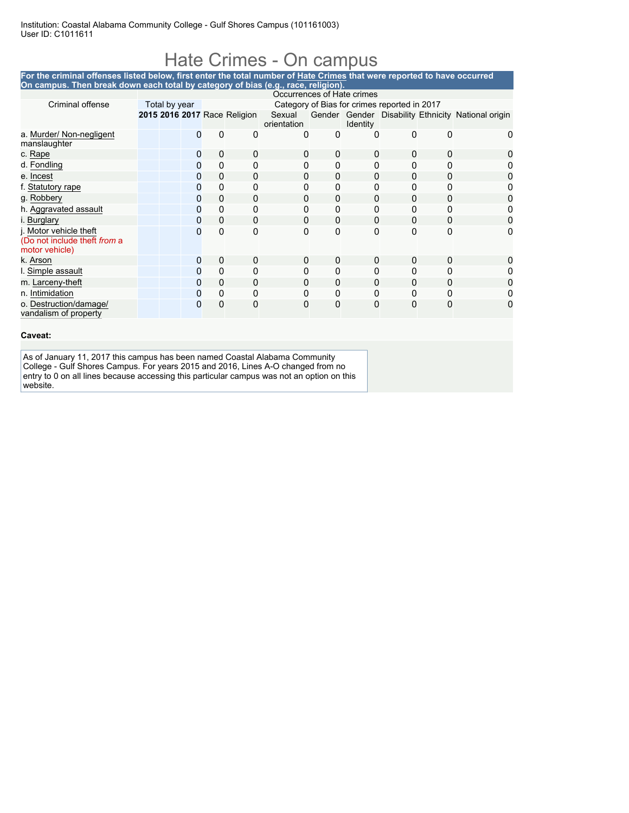### Hate Crimes - On campus

#### **For the criminal offenses listed below, first enter the total number of Hate Crimes that were reported to have occurred On campus. Then break down each total by category of bias (e.g., race, religion).**

|                                                                          |                                                               |   |              |                              | Occurrences of Hate crimes |              |          |          |          |                                                    |
|--------------------------------------------------------------------------|---------------------------------------------------------------|---|--------------|------------------------------|----------------------------|--------------|----------|----------|----------|----------------------------------------------------|
| Criminal offense                                                         | Category of Bias for crimes reported in 2017<br>Total by year |   |              |                              |                            |              |          |          |          |                                                    |
|                                                                          |                                                               |   |              | 2015 2016 2017 Race Religion | Sexual<br>orientation      |              | Identity |          |          | Gender Gender Disability Ethnicity National origin |
| a. Murder/ Non-negligent<br>manslaughter                                 |                                                               | 0 | 0            | 0                            | 0                          | 0            | 0        | 0        | $\Omega$ |                                                    |
| c. Rape                                                                  |                                                               | 0 | 0            | 0                            | 0                          | $\Omega$     | 0        | 0        | 0        |                                                    |
| d. Fondling                                                              |                                                               | 0 | 0            | 0                            | 0                          | 0            | 0        | 0        | 0        |                                                    |
| e. Incest                                                                |                                                               | 0 | $\mathbf 0$  | $\Omega$                     | 0                          | $\mathbf{0}$ | $\Omega$ | 0        | $\Omega$ |                                                    |
| f. Statutory rape                                                        |                                                               | 0 | 0            | 0                            | 0                          | 0            | 0        | 0        | 0        |                                                    |
| g. Robbery                                                               |                                                               | Ω | 0            | 0                            | 0                          | $\Omega$     | 0        | 0        | 0        |                                                    |
| h. Aggravated assault                                                    |                                                               | O | 0            | 0                            | 0                          | 0            | 0        | 0        | 0        |                                                    |
| i. Burglary                                                              |                                                               | 0 | $\mathbf 0$  | $\Omega$                     | 0                          | $\mathbf{0}$ | 0        | 0        | 0        | 0                                                  |
| j. Motor vehicle theft<br>(Do not include theft from a<br>motor vehicle) |                                                               | O | $\Omega$     | $\mathbf{0}$                 | 0                          | $\mathbf{0}$ | 0        | $\Omega$ | 0        | 0                                                  |
| k. Arson                                                                 |                                                               | 0 | $\mathbf 0$  | 0                            | 0                          | 0            | 0        | 0        | 0        |                                                    |
| I. Simple assault                                                        |                                                               | Ω | $\mathbf{0}$ | 0                            | 0                          | $\Omega$     | 0        | 0        |          |                                                    |
| m. Larceny-theft                                                         |                                                               |   | 0            | 0                            | 0                          | 0            | 0        | 0        | 0        |                                                    |
| n. Intimidation                                                          |                                                               | 0 | $\Omega$     | $\Omega$                     | 0                          | $\mathbf{0}$ | 0        | $\Omega$ | 0        |                                                    |
| o. Destruction/damage/<br>vandalism of property                          |                                                               | Ω | 0            | 0                            | 0                          | $\Omega$     | 0        | 0        | 0        |                                                    |

**Caveat:**

As of January 11, 2017 this campus has been named Coastal Alabama Community College - Gulf Shores Campus. For years 2015 and 2016, Lines A-O changed from no entry to 0 on all lines because accessing this particular campus was not an option on this website.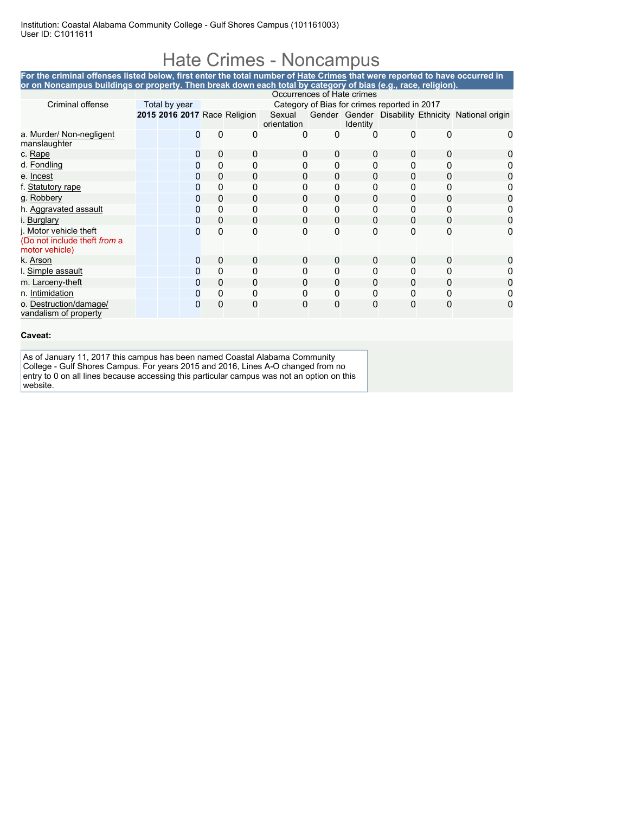## Hate Crimes - Noncampus

| For the criminal offenses listed below, first enter the total number of Hate Crimes that were reported to have occurred in<br>or on Noncampus buildings or property. Then break down each total by category of bias (e.g., race, religion). |                            |   |             |                              |                       |   |                 |                                              |   |                                                    |
|---------------------------------------------------------------------------------------------------------------------------------------------------------------------------------------------------------------------------------------------|----------------------------|---|-------------|------------------------------|-----------------------|---|-----------------|----------------------------------------------|---|----------------------------------------------------|
|                                                                                                                                                                                                                                             |                            |   |             |                              |                       |   |                 |                                              |   |                                                    |
|                                                                                                                                                                                                                                             | Occurrences of Hate crimes |   |             |                              |                       |   |                 |                                              |   |                                                    |
| Criminal offense                                                                                                                                                                                                                            | Total by year              |   |             |                              |                       |   |                 | Category of Bias for crimes reported in 2017 |   |                                                    |
|                                                                                                                                                                                                                                             |                            |   |             | 2015 2016 2017 Race Religion | Sexual<br>orientation |   | <b>Identity</b> |                                              |   | Gender Gender Disability Ethnicity National origin |
| a. Murder/ Non-negligent<br>manslaughter                                                                                                                                                                                                    |                            |   | 0           | 0                            | $\Omega$              | 0 | O               | 0                                            | O |                                                    |
| c. Rape                                                                                                                                                                                                                                     |                            | 0 | 0           |                              | 0                     | 0 | 0               |                                              | 0 |                                                    |
| d. Fondling                                                                                                                                                                                                                                 |                            | 0 | 0           |                              |                       | 0 | 0               |                                              |   |                                                    |
| e. Incest                                                                                                                                                                                                                                   |                            | 0 | 0           | 0                            | 0                     | 0 | 0               | 0                                            | 0 |                                                    |
| f. Statutory rape                                                                                                                                                                                                                           |                            | O | 0           |                              |                       | 0 | 0               |                                              |   |                                                    |
| g. Robbery                                                                                                                                                                                                                                  |                            | O | 0           | 0                            | 0                     | 0 | 0               |                                              |   |                                                    |
| h. Aggravated assault                                                                                                                                                                                                                       |                            | Ω | 0           | U                            |                       | 0 | 0               |                                              |   |                                                    |
| i. Burglary                                                                                                                                                                                                                                 |                            |   | 0           | 0                            | $\Omega$              | 0 | 0               | 0                                            | 0 |                                                    |
| j. Motor vehicle theft<br>(Do not include theft from a<br>motor vehicle)                                                                                                                                                                    |                            | O | 0           | O                            | 0                     | 0 | 0               | $\Omega$                                     | ი |                                                    |
| k. Arson                                                                                                                                                                                                                                    |                            | 0 | $\mathbf 0$ | O                            | 0                     | 0 | 0               | U                                            | 0 |                                                    |
| I. Simple assault                                                                                                                                                                                                                           |                            | 0 | 0           |                              | 0                     | 0 | 0               |                                              |   |                                                    |
| m. Larceny-theft                                                                                                                                                                                                                            |                            | 0 | 0           | 0                            | 0                     | 0 | 0               | 0                                            | 0 |                                                    |
| n. Intimidation                                                                                                                                                                                                                             |                            |   | 0           |                              |                       | 0 | U               |                                              |   |                                                    |
| o. Destruction/damage/<br>vandalism of property                                                                                                                                                                                             |                            |   | 0           | O                            | 0                     | 0 | O               | O                                            |   |                                                    |

#### **Caveat:**

As of January 11, 2017 this campus has been named Coastal Alabama Community College - Gulf Shores Campus. For years 2015 and 2016, Lines A-O changed from no entry to 0 on all lines because accessing this particular campus was not an option on this website.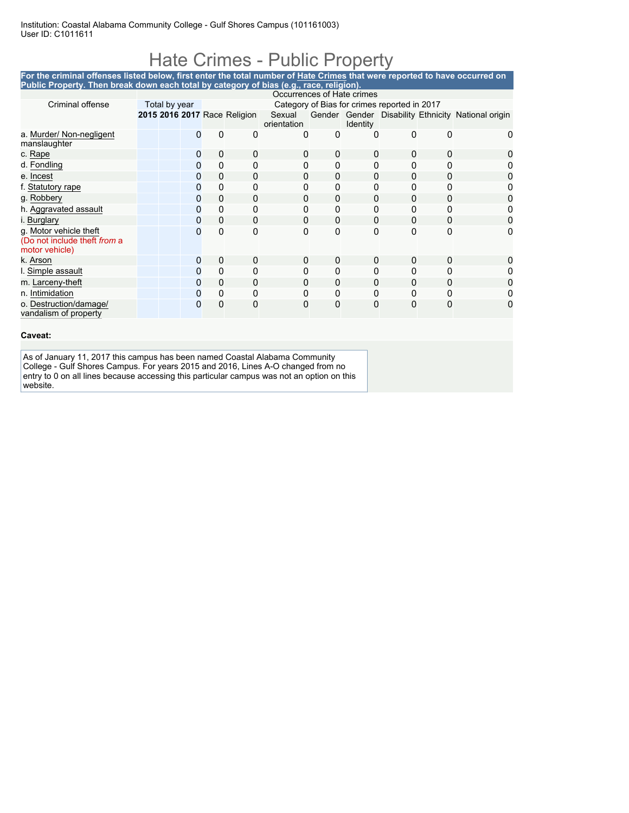### Hate Crimes - Public Property

**For the criminal offenses listed below, first enter the total number of Hate Crimes that were reported to have occurred on Public Property. Then break down each total by category of bias (e.g., race, religion).**

|                                                                          |               |   |             |                              | Occurrences of Hate crimes |          |                 |                                              |              |                                                    |
|--------------------------------------------------------------------------|---------------|---|-------------|------------------------------|----------------------------|----------|-----------------|----------------------------------------------|--------------|----------------------------------------------------|
| Criminal offense                                                         | Total by year |   |             |                              |                            |          |                 | Category of Bias for crimes reported in 2017 |              |                                                    |
|                                                                          |               |   |             | 2015 2016 2017 Race Religion | Sexual<br>orientation      |          | <b>Identity</b> |                                              |              | Gender Gender Disability Ethnicity National origin |
| a. Murder/ Non-negligent<br>manslaughter                                 |               |   | 0           | 0                            | 0                          | 0        | 0               | 0                                            | <sup>0</sup> | 0                                                  |
| c. Rape                                                                  |               | 0 | $\mathbf 0$ | 0                            | 0                          | 0        | 0               | 0                                            | 0            |                                                    |
| d. Fondling                                                              |               | 0 | 0           | 0                            | 0                          | 0        | 0               | 0                                            | <sup>0</sup> |                                                    |
| e. Incest                                                                |               | 0 | $\mathbf 0$ | 0                            | 0                          | $\Omega$ | $\Omega$        | 0                                            | 0            | 0                                                  |
| f. Statutory rape                                                        |               | 0 | 0           | 0                            | Ω                          | 0        | 0               | 0                                            | 0            |                                                    |
| g. Robbery                                                               |               | 0 | $\Omega$    | 0                            | 0                          | 0        | $\Omega$        | 0                                            | 0            |                                                    |
| h. Aggravated assault                                                    |               | 0 | 0           | 0                            |                            | 0        | $\Omega$        | 0                                            |              |                                                    |
| i. Burglary                                                              |               | 0 | $\mathbf 0$ | 0                            | 0                          | 0        | 0               | 0                                            | 0            | 0                                                  |
| g. Motor vehicle theft<br>(Do not include theft from a<br>motor vehicle) |               | 0 | 0           | 0                            | 0                          | 0        | 0               | $\mathbf{0}$                                 | 0            | 0                                                  |
| k. Arson                                                                 |               | 0 | $\mathbf 0$ | 0                            | 0                          | 0        | 0               | 0                                            | 0            | 0                                                  |
| I. Simple assault                                                        |               | 0 | 0           | 0                            | 0                          | 0        | 0               | 0                                            |              |                                                    |
| m. Larceny-theft                                                         |               | 0 | 0           | 0                            | Ω                          | 0        | 0               | 0                                            |              |                                                    |
| n. Intimidation                                                          |               | 0 | 0           | 0                            | 0                          | 0        | 0               | 0                                            | 0            |                                                    |
| o. Destruction/damage/<br>vandalism of property                          |               | 0 | 0           | 0                            | 0                          | 0        | 0               | 0                                            | $\Omega$     | 0                                                  |

#### **Caveat:**

As of January 11, 2017 this campus has been named Coastal Alabama Community College - Gulf Shores Campus. For years 2015 and 2016, Lines A-O changed from no entry to 0 on all lines because accessing this particular campus was not an option on this website.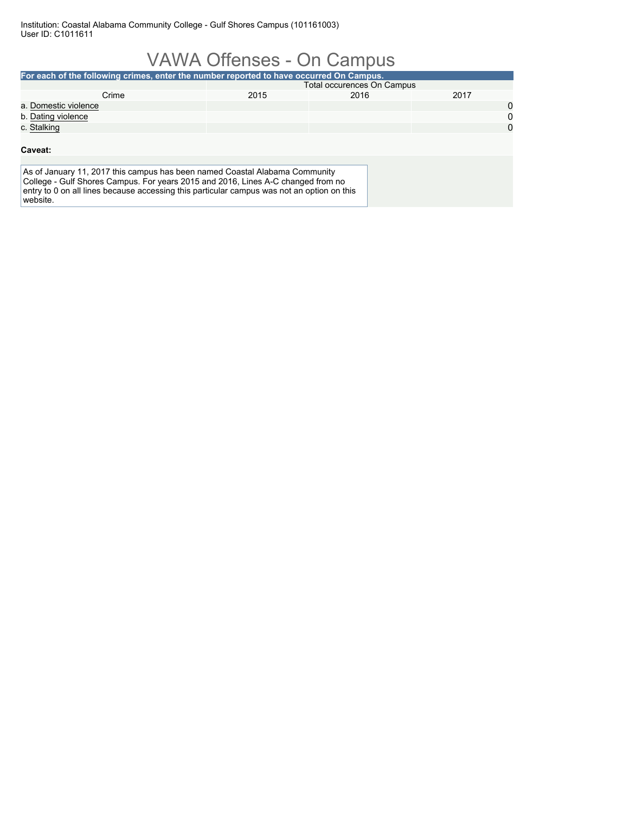|                                                                                                                                                                                                                                                                           | <b>VAWA Offenses - On Campus</b>  |      |      |              |  |  |  |
|---------------------------------------------------------------------------------------------------------------------------------------------------------------------------------------------------------------------------------------------------------------------------|-----------------------------------|------|------|--------------|--|--|--|
| For each of the following crimes, enter the number reported to have occurred On Campus.                                                                                                                                                                                   |                                   |      |      |              |  |  |  |
|                                                                                                                                                                                                                                                                           | <b>Total occurences On Campus</b> |      |      |              |  |  |  |
| Crime                                                                                                                                                                                                                                                                     | 2015                              | 2016 | 2017 |              |  |  |  |
| a. Domestic violence                                                                                                                                                                                                                                                      |                                   |      |      | 0            |  |  |  |
| b. Dating violence                                                                                                                                                                                                                                                        |                                   |      |      | $\mathbf{0}$ |  |  |  |
| c. Stalking                                                                                                                                                                                                                                                               |                                   |      |      | $\Omega$     |  |  |  |
| Caveat:                                                                                                                                                                                                                                                                   |                                   |      |      |              |  |  |  |
| As of January 11, 2017 this campus has been named Coastal Alabama Community<br>College - Gulf Shores Campus. For years 2015 and 2016, Lines A-C changed from no<br>entry to 0 on all lines because accessing this particular campus was not an option on this<br>website. |                                   |      |      |              |  |  |  |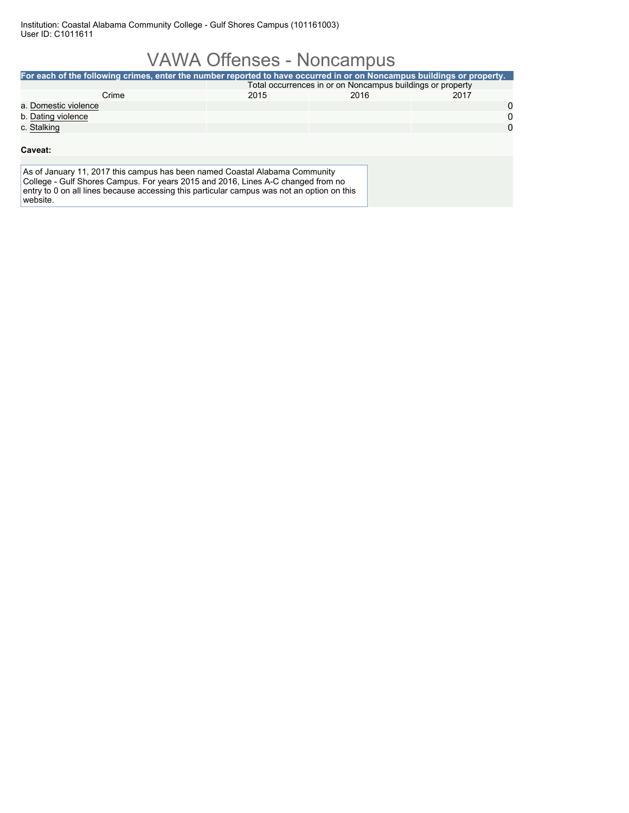## VAWA Offenses - Noncampus

| For each of the following crimes, enter the number reported to have occurred in or on Noncampus buildings or property.                                                                                                                                                    |      |      |          |  |  |  |
|---------------------------------------------------------------------------------------------------------------------------------------------------------------------------------------------------------------------------------------------------------------------------|------|------|----------|--|--|--|
| Total occurrences in or on Noncampus buildings or property                                                                                                                                                                                                                |      |      |          |  |  |  |
| Crime                                                                                                                                                                                                                                                                     | 2015 | 2016 | 2017     |  |  |  |
| a. Domestic violence                                                                                                                                                                                                                                                      |      |      | 0        |  |  |  |
| b. Dating violence                                                                                                                                                                                                                                                        |      |      | $\Omega$ |  |  |  |
| c. Stalking                                                                                                                                                                                                                                                               |      |      | $\Omega$ |  |  |  |
| Caveat:                                                                                                                                                                                                                                                                   |      |      |          |  |  |  |
| As of January 11, 2017 this campus has been named Coastal Alabama Community<br>College - Gulf Shores Campus. For years 2015 and 2016, Lines A-C changed from no<br>entry to 0 on all lines because accessing this particular campus was not an option on this<br>website. |      |      |          |  |  |  |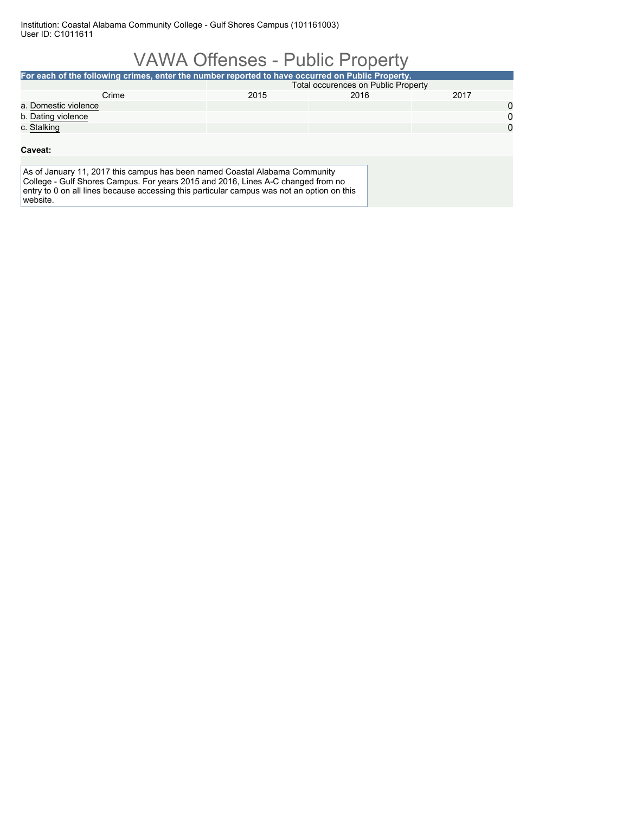|                                                                                                                                                                                                                                                                           | <b>VAWA Offenses - Public Property</b>     |      |      |          |  |  |
|---------------------------------------------------------------------------------------------------------------------------------------------------------------------------------------------------------------------------------------------------------------------------|--------------------------------------------|------|------|----------|--|--|
| For each of the following crimes, enter the number reported to have occurred on Public Property.                                                                                                                                                                          |                                            |      |      |          |  |  |
|                                                                                                                                                                                                                                                                           | <b>Total occurences on Public Property</b> |      |      |          |  |  |
| Crime                                                                                                                                                                                                                                                                     | 2015                                       | 2016 | 2017 |          |  |  |
| a. Domestic violence                                                                                                                                                                                                                                                      |                                            |      |      | 0        |  |  |
| b. Dating violence                                                                                                                                                                                                                                                        |                                            |      |      | 0        |  |  |
| c. Stalking                                                                                                                                                                                                                                                               |                                            |      |      | $\Omega$ |  |  |
| Caveat:                                                                                                                                                                                                                                                                   |                                            |      |      |          |  |  |
| As of January 11, 2017 this campus has been named Coastal Alabama Community<br>College - Gulf Shores Campus. For years 2015 and 2016, Lines A-C changed from no<br>entry to 0 on all lines because accessing this particular campus was not an option on this<br>website. |                                            |      |      |          |  |  |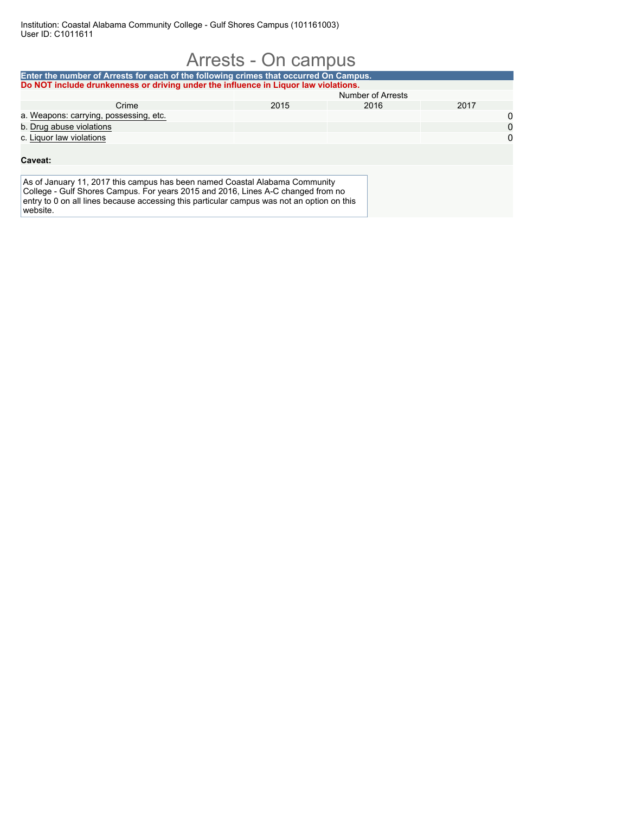|                                                                                                                                                                 | Arrests - On campus |                   |      |             |
|-----------------------------------------------------------------------------------------------------------------------------------------------------------------|---------------------|-------------------|------|-------------|
| Enter the number of Arrests for each of the following crimes that occurred On Campus.                                                                           |                     |                   |      |             |
| Do NOT include drunkenness or driving under the influence in Liquor law violations.                                                                             |                     |                   |      |             |
|                                                                                                                                                                 |                     | Number of Arrests |      |             |
| Crime                                                                                                                                                           | 2015                | 2016              | 2017 |             |
| a. Weapons: carrying, possessing, etc.                                                                                                                          |                     |                   |      | 0           |
| b. Drug abuse violations                                                                                                                                        |                     |                   |      | $\mathbf 0$ |
| c. Liquor law violations                                                                                                                                        |                     |                   |      | $\Omega$    |
| Caveat:                                                                                                                                                         |                     |                   |      |             |
| As of January 11, 2017 this campus has been named Coastal Alabama Community<br>College - Gulf Shores Campus. For years 2015 and 2016, Lines A-C changed from no |                     |                   |      |             |
| entry to 0 on all lines because accessing this particular campus was not an option on this<br>website.                                                          |                     |                   |      |             |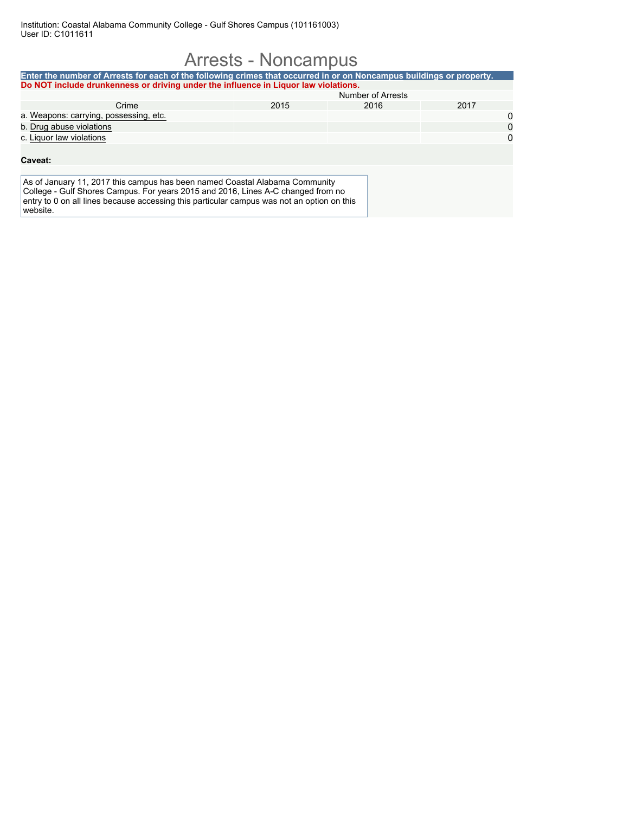#### Arrests - Noncampus **Enter the number of Arrests for each of the following crimes that occurred in or on Noncampus buildings or property. Do NOT include drunkenness or driving under the influence in Liquor law violations.** Number of Arrests Crime 2015 2016 2017 a. <u>Weapons: carrying, possessing, etc.</u> 00 of the carrying of the carrying of the carrying of the carrying of the carrying of the carrying of the carrying of the carrying of the carrying of the carrying of the carrying of b. Drug abuse violations c. Liquor law violations 0 **Caveat:** As of January 11, 2017 this campus has been named Coastal Alabama Community College - Gulf Shores Campus. For years 2015 and 2016, Lines A-C changed from no entry to 0 on all lines because accessing this particular campus was not an option on this website.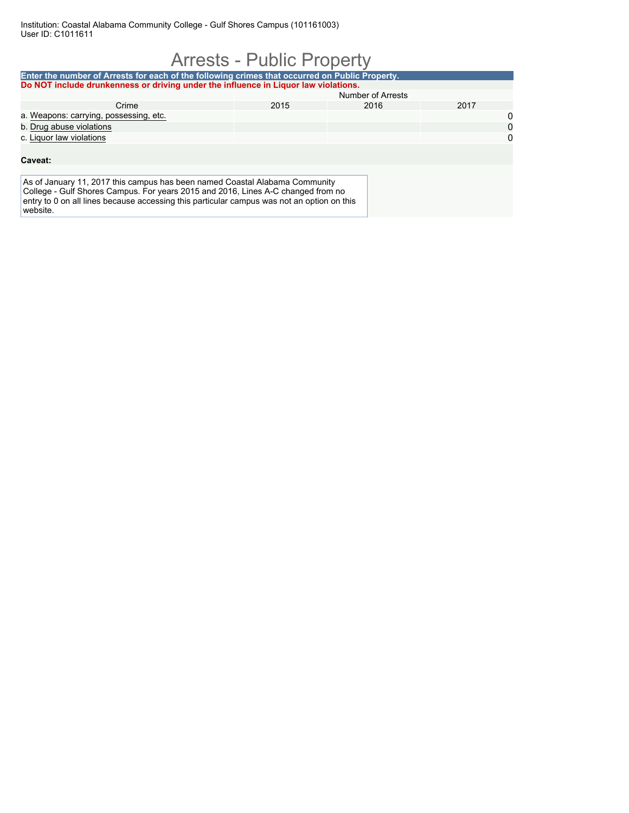| <b>Arrests - Public Property</b>                                                                                                                                                                                                                                          |      |                   |      |          |  |  |  |
|---------------------------------------------------------------------------------------------------------------------------------------------------------------------------------------------------------------------------------------------------------------------------|------|-------------------|------|----------|--|--|--|
| Enter the number of Arrests for each of the following crimes that occurred on Public Property.<br>Do NOT include drunkenness or driving under the influence in Liguor law violations.                                                                                     |      |                   |      |          |  |  |  |
|                                                                                                                                                                                                                                                                           |      | Number of Arrests |      |          |  |  |  |
| Crime                                                                                                                                                                                                                                                                     | 2015 | 2016              | 2017 |          |  |  |  |
| a. Weapons: carrying, possessing, etc.                                                                                                                                                                                                                                    |      |                   |      | 0        |  |  |  |
| b. Drug abuse violations                                                                                                                                                                                                                                                  |      |                   |      | $\Omega$ |  |  |  |
| c. Liquor law violations                                                                                                                                                                                                                                                  |      |                   |      | $\Omega$ |  |  |  |
| Caveat:                                                                                                                                                                                                                                                                   |      |                   |      |          |  |  |  |
|                                                                                                                                                                                                                                                                           |      |                   |      |          |  |  |  |
| As of January 11, 2017 this campus has been named Coastal Alabama Community<br>College - Gulf Shores Campus. For years 2015 and 2016, Lines A-C changed from no<br>entry to 0 on all lines because accessing this particular campus was not an option on this<br>website. |      |                   |      |          |  |  |  |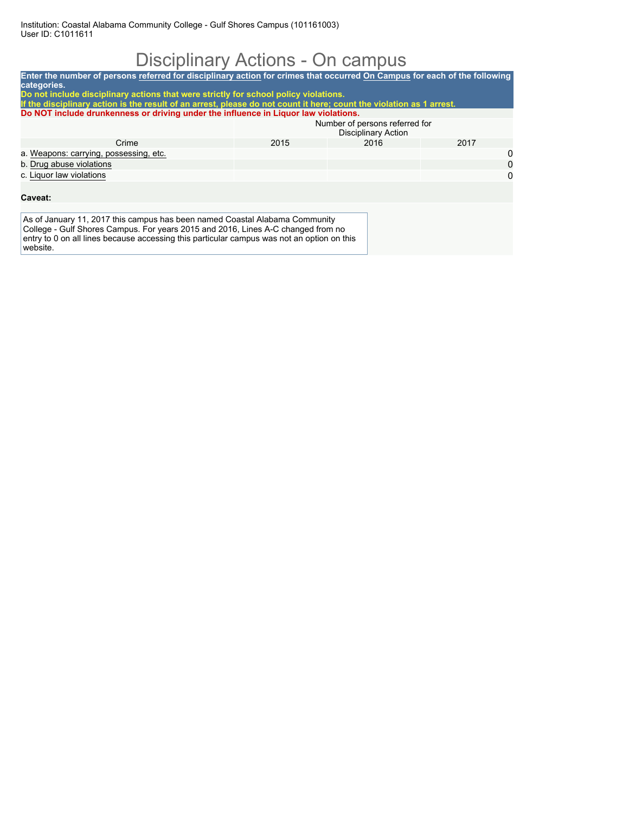# Disciplinary Actions - On campus

| Enter the number of persons referred for disciplinary action for crimes that occurred On Campus for each of the following<br>categories.                                                                                                                                  |                                                                                      |      |      |          |  |  |  |  |
|---------------------------------------------------------------------------------------------------------------------------------------------------------------------------------------------------------------------------------------------------------------------------|--------------------------------------------------------------------------------------|------|------|----------|--|--|--|--|
|                                                                                                                                                                                                                                                                           | Do not include disciplinary actions that were strictly for school policy violations. |      |      |          |  |  |  |  |
| If the disciplinary action is the result of an arrest, please do not count it here; count the violation as 1 arrest.                                                                                                                                                      |                                                                                      |      |      |          |  |  |  |  |
| Do NOT include drunkenness or driving under the influence in Liguor law violations.                                                                                                                                                                                       |                                                                                      |      |      |          |  |  |  |  |
|                                                                                                                                                                                                                                                                           | Number of persons referred for<br>Disciplinary Action                                |      |      |          |  |  |  |  |
| Crime                                                                                                                                                                                                                                                                     | 2015                                                                                 | 2016 | 2017 |          |  |  |  |  |
| a. Weapons: carrying, possessing, etc.                                                                                                                                                                                                                                    |                                                                                      |      |      | 0        |  |  |  |  |
| b. Drug abuse violations                                                                                                                                                                                                                                                  |                                                                                      |      |      | $\Omega$ |  |  |  |  |
| c. Liquor law violations                                                                                                                                                                                                                                                  |                                                                                      |      |      | 0        |  |  |  |  |
|                                                                                                                                                                                                                                                                           |                                                                                      |      |      |          |  |  |  |  |
| Caveat:                                                                                                                                                                                                                                                                   |                                                                                      |      |      |          |  |  |  |  |
|                                                                                                                                                                                                                                                                           |                                                                                      |      |      |          |  |  |  |  |
| As of January 11, 2017 this campus has been named Coastal Alabama Community<br>College - Gulf Shores Campus. For years 2015 and 2016, Lines A-C changed from no<br>entry to 0 on all lines because accessing this particular campus was not an option on this<br>website. |                                                                                      |      |      |          |  |  |  |  |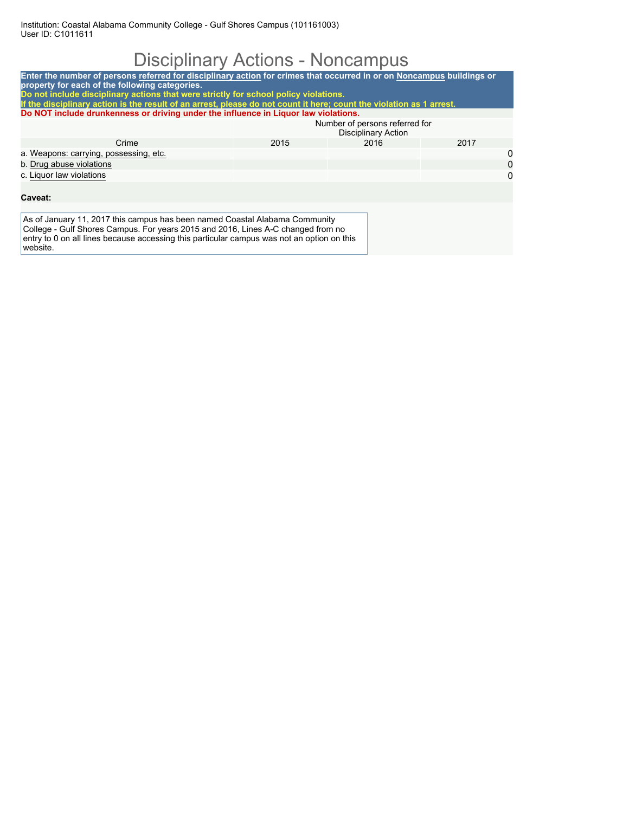Institution: Coastal Alabama Community College - Gulf Shores Campus (101161003) User ID: C1011611

# Disciplinary Actions - Noncampus

| Enter the number of persons referred for disciplinary action for crimes that occurred in or on Noncampus buildings or<br>property for each of the following categories.<br>Do not include disciplinary actions that were strictly for school policy violations.           |                                                              |      |      |   |  |  |  |
|---------------------------------------------------------------------------------------------------------------------------------------------------------------------------------------------------------------------------------------------------------------------------|--------------------------------------------------------------|------|------|---|--|--|--|
| If the disciplinary action is the result of an arrest, please do not count it here; count the violation as 1 arrest.                                                                                                                                                      |                                                              |      |      |   |  |  |  |
| Do NOT include drunkenness or driving under the influence in Liguor law violations.                                                                                                                                                                                       |                                                              |      |      |   |  |  |  |
|                                                                                                                                                                                                                                                                           | Number of persons referred for<br><b>Disciplinary Action</b> |      |      |   |  |  |  |
| Crime                                                                                                                                                                                                                                                                     | 2015                                                         | 2016 | 2017 |   |  |  |  |
| a. Weapons: carrying, possessing, etc.                                                                                                                                                                                                                                    |                                                              |      |      | 0 |  |  |  |
| b. Drug abuse violations                                                                                                                                                                                                                                                  |                                                              |      |      | 0 |  |  |  |
| c. Liquor law violations                                                                                                                                                                                                                                                  |                                                              |      |      | 0 |  |  |  |
|                                                                                                                                                                                                                                                                           |                                                              |      |      |   |  |  |  |
| Caveat:                                                                                                                                                                                                                                                                   |                                                              |      |      |   |  |  |  |
|                                                                                                                                                                                                                                                                           |                                                              |      |      |   |  |  |  |
| As of January 11, 2017 this campus has been named Coastal Alabama Community<br>College - Gulf Shores Campus. For years 2015 and 2016, Lines A-C changed from no<br>entry to 0 on all lines because accessing this particular campus was not an option on this<br>website. |                                                              |      |      |   |  |  |  |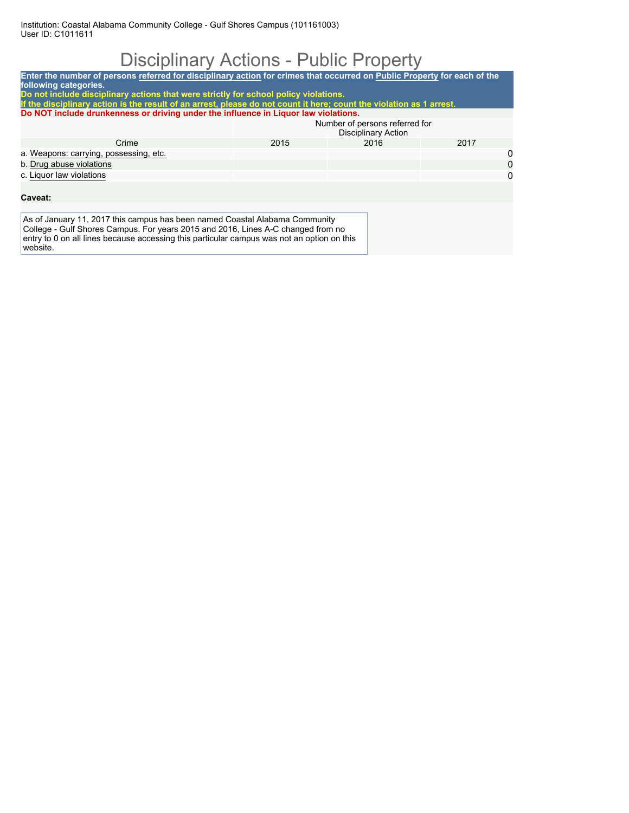## Disciplinary Actions - Public Property

| Enter the number of persons referred for disciplinary action for crimes that occurred on Public Property for each of the                                                                                                                                                  |                                                              |      |      |   |  |  |  |  |  |
|---------------------------------------------------------------------------------------------------------------------------------------------------------------------------------------------------------------------------------------------------------------------------|--------------------------------------------------------------|------|------|---|--|--|--|--|--|
| following categories.<br>Do not include disciplinary actions that were strictly for school policy violations.<br>If the disciplinary action is the result of an arrest, please do not count it here; count the violation as 1 arrest.                                     |                                                              |      |      |   |  |  |  |  |  |
| Do NOT include drunkenness or driving under the influence in Liquor law violations.                                                                                                                                                                                       |                                                              |      |      |   |  |  |  |  |  |
|                                                                                                                                                                                                                                                                           | Number of persons referred for<br><b>Disciplinary Action</b> |      |      |   |  |  |  |  |  |
| Crime                                                                                                                                                                                                                                                                     | 2015                                                         | 2016 | 2017 |   |  |  |  |  |  |
| a. Weapons: carrying, possessing, etc.                                                                                                                                                                                                                                    |                                                              |      |      | 0 |  |  |  |  |  |
| b. Drug abuse violations                                                                                                                                                                                                                                                  |                                                              |      |      | 0 |  |  |  |  |  |
| c. Liquor law violations                                                                                                                                                                                                                                                  |                                                              |      |      | 0 |  |  |  |  |  |
| Caveat:                                                                                                                                                                                                                                                                   |                                                              |      |      |   |  |  |  |  |  |
| As of January 11, 2017 this campus has been named Coastal Alabama Community<br>College - Gulf Shores Campus. For years 2015 and 2016, Lines A-C changed from no<br>entry to 0 on all lines because accessing this particular campus was not an option on this<br>website. |                                                              |      |      |   |  |  |  |  |  |